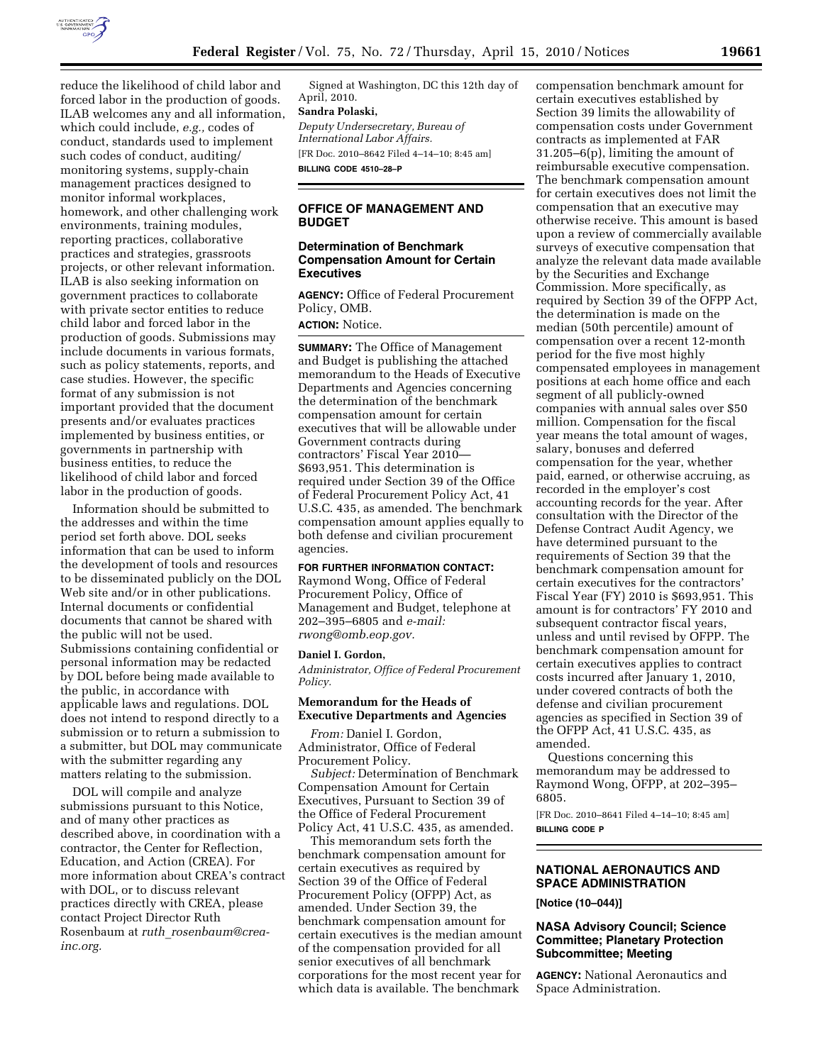

reduce the likelihood of child labor and forced labor in the production of goods. ILAB welcomes any and all information, which could include, *e.g.,* codes of conduct, standards used to implement such codes of conduct, auditing/ monitoring systems, supply-chain management practices designed to monitor informal workplaces, homework, and other challenging work environments, training modules, reporting practices, collaborative practices and strategies, grassroots projects, or other relevant information. ILAB is also seeking information on government practices to collaborate with private sector entities to reduce child labor and forced labor in the production of goods. Submissions may include documents in various formats, such as policy statements, reports, and case studies. However, the specific format of any submission is not important provided that the document presents and/or evaluates practices implemented by business entities, or governments in partnership with business entities, to reduce the likelihood of child labor and forced labor in the production of goods.

Information should be submitted to the addresses and within the time period set forth above. DOL seeks information that can be used to inform the development of tools and resources to be disseminated publicly on the DOL Web site and/or in other publications. Internal documents or confidential documents that cannot be shared with the public will not be used. Submissions containing confidential or personal information may be redacted by DOL before being made available to the public, in accordance with applicable laws and regulations. DOL does not intend to respond directly to a submission or to return a submission to a submitter, but DOL may communicate with the submitter regarding any matters relating to the submission.

DOL will compile and analyze submissions pursuant to this Notice, and of many other practices as described above, in coordination with a contractor, the Center for Reflection, Education, and Action (CREA). For more information about CREA's contract with DOL, or to discuss relevant practices directly with CREA, please contact Project Director Ruth Rosenbaum at *ruth*\_*rosenbaum@creainc.org.* 

Signed at Washington, DC this 12th day of April, 2010.

#### **Sandra Polaski,**

*Deputy Undersecretary, Bureau of International Labor Affairs.*  [FR Doc. 2010–8642 Filed 4–14–10; 8:45 am] **BILLING CODE 4510–28–P** 

**OFFICE OF MANAGEMENT AND BUDGET** 

#### **Determination of Benchmark Compensation Amount for Certain Executives**

**AGENCY:** Office of Federal Procurement Policy, OMB.

# **ACTION:** Notice.

**SUMMARY:** The Office of Management and Budget is publishing the attached memorandum to the Heads of Executive Departments and Agencies concerning the determination of the benchmark compensation amount for certain executives that will be allowable under Government contracts during contractors' Fiscal Year 2010— \$693,951. This determination is required under Section 39 of the Office of Federal Procurement Policy Act, 41 U.S.C. 435, as amended. The benchmark compensation amount applies equally to both defense and civilian procurement agencies.

#### **FOR FURTHER INFORMATION CONTACT:**

Raymond Wong, Office of Federal Procurement Policy, Office of Management and Budget, telephone at 202–395–6805 and *e-mail: rwong@omb.eop.gov.* 

#### **Daniel I. Gordon,**

*Administrator, Office of Federal Procurement Policy.* 

#### **Memorandum for the Heads of Executive Departments and Agencies**

*From:* Daniel I. Gordon, Administrator, Office of Federal Procurement Policy.

*Subject:* Determination of Benchmark Compensation Amount for Certain Executives, Pursuant to Section 39 of the Office of Federal Procurement Policy Act, 41 U.S.C. 435, as amended.

This memorandum sets forth the benchmark compensation amount for certain executives as required by Section 39 of the Office of Federal Procurement Policy (OFPP) Act, as amended. Under Section 39, the benchmark compensation amount for certain executives is the median amount of the compensation provided for all senior executives of all benchmark corporations for the most recent year for which data is available. The benchmark

compensation benchmark amount for certain executives established by Section 39 limits the allowability of compensation costs under Government contracts as implemented at FAR 31.205–6(p), limiting the amount of reimbursable executive compensation. The benchmark compensation amount for certain executives does not limit the compensation that an executive may otherwise receive. This amount is based upon a review of commercially available surveys of executive compensation that analyze the relevant data made available by the Securities and Exchange Commission. More specifically, as required by Section 39 of the OFPP Act, the determination is made on the median (50th percentile) amount of compensation over a recent 12-month period for the five most highly compensated employees in management positions at each home office and each segment of all publicly-owned companies with annual sales over \$50 million. Compensation for the fiscal year means the total amount of wages, salary, bonuses and deferred compensation for the year, whether paid, earned, or otherwise accruing, as recorded in the employer's cost accounting records for the year. After consultation with the Director of the Defense Contract Audit Agency, we have determined pursuant to the requirements of Section 39 that the benchmark compensation amount for certain executives for the contractors' Fiscal Year (FY) 2010 is \$693,951. This amount is for contractors' FY 2010 and subsequent contractor fiscal years, unless and until revised by OFPP. The benchmark compensation amount for certain executives applies to contract costs incurred after January 1, 2010, under covered contracts of both the defense and civilian procurement agencies as specified in Section 39 of the OFPP Act, 41 U.S.C. 435, as amended.

Questions concerning this memorandum may be addressed to Raymond Wong, OFPP, at 202–395– 6805.

[FR Doc. 2010–8641 Filed 4–14–10; 8:45 am] **BILLING CODE P** 

## **NATIONAL AERONAUTICS AND SPACE ADMINISTRATION**

**[Notice (10–044)]** 

#### **NASA Advisory Council; Science Committee; Planetary Protection Subcommittee; Meeting**

**AGENCY:** National Aeronautics and Space Administration.